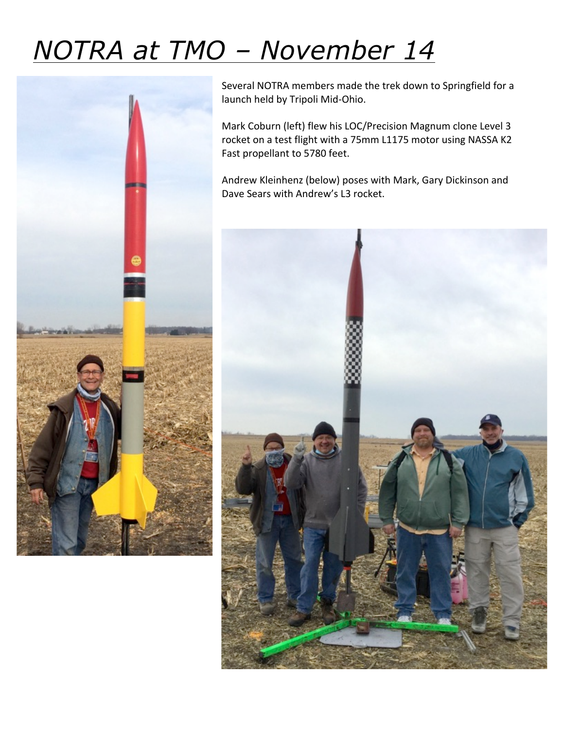## *NOTRA at TMO – November 14*



Several NOTRA members made the trek down to Springfield for a launch held by Tripoli Mid-Ohio.

Mark Coburn (left) flew his LOC/Precision Magnum clone Level 3 rocket on a test flight with a 75mm L1175 motor using NASSA K2 Fast propellant to 5780 feet.

Andrew Kleinhenz (below) poses with Mark, Gary Dickinson and Dave Sears with Andrew's L3 rocket.

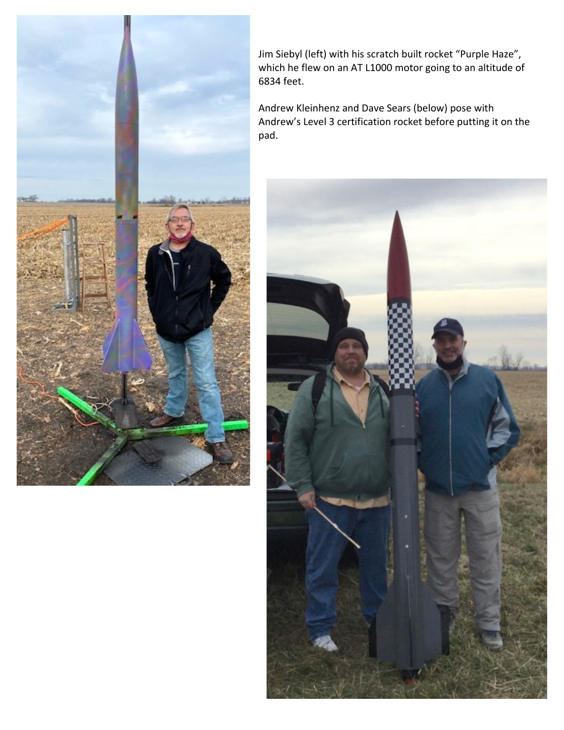

Jim Siebyl (left) with his scratch built rocket "Purple Haze", which he flew on an AT L1000 motor going to an altitude of 6834 feet.

Andrew Kleinhenz and Dave Sears (below) pose with Andrew's Level 3 certification rocket before putting it on the pad. 

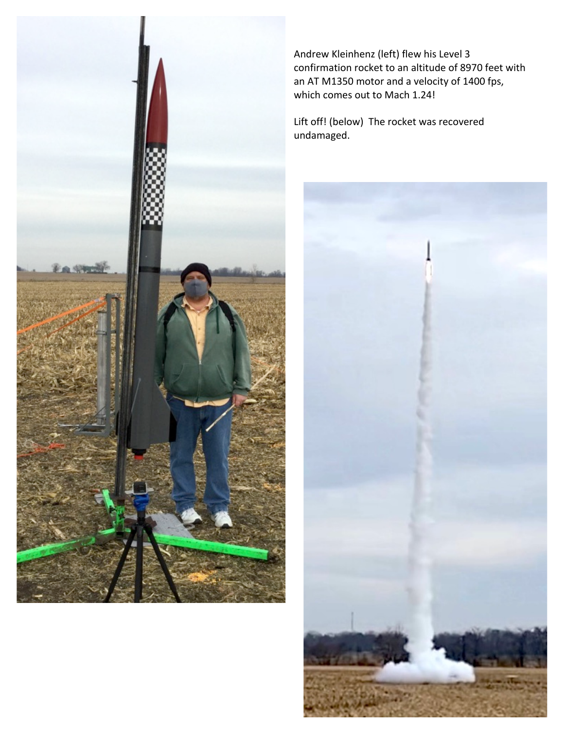

Andrew Kleinhenz (left) flew his Level 3 confirmation rocket to an altitude of 8970 feet with an AT M1350 motor and a velocity of 1400 fps, which comes out to Mach 1.24!

Lift off! (below) The rocket was recovered undamaged.